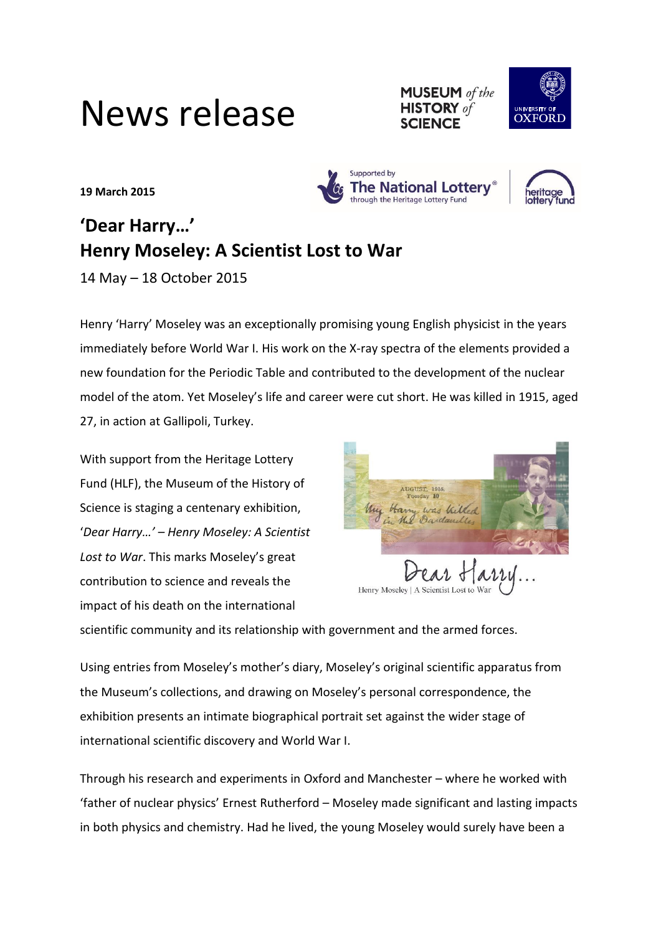$JM$  of the



**19 March 2015**





### **'Dear Harry…' Henry Moseley: A Scientist Lost to War**

14 May – 18 October 2015

Henry 'Harry' Moseley was an exceptionally promising young English physicist in the years immediately before World War I. His work on the X-ray spectra of the elements provided a new foundation for the Periodic Table and contributed to the development of the nuclear model of the atom. Yet Moseley's life and career were cut short. He was killed in 1915, aged 27, in action at Gallipoli, Turkey.

With support from the Heritage Lottery Fund (HLF), the Museum of the History of Science is staging a centenary exhibition, '*Dear Harry…' – Henry Moseley: A Scientist Lost to War*. This marks Moseley's great contribution to science and reveals the impact of his death on the international



Henry Moseley

scientific community and its relationship with government and the armed forces.

Using entries from Moseley's mother's diary, Moseley's original scientific apparatus from the Museum's collections, and drawing on Moseley's personal correspondence, the exhibition presents an intimate biographical portrait set against the wider stage of international scientific discovery and World War I.

Through his research and experiments in Oxford and Manchester – where he worked with 'father of nuclear physics' Ernest Rutherford – Moseley made significant and lasting impacts in both physics and chemistry. Had he lived, the young Moseley would surely have been a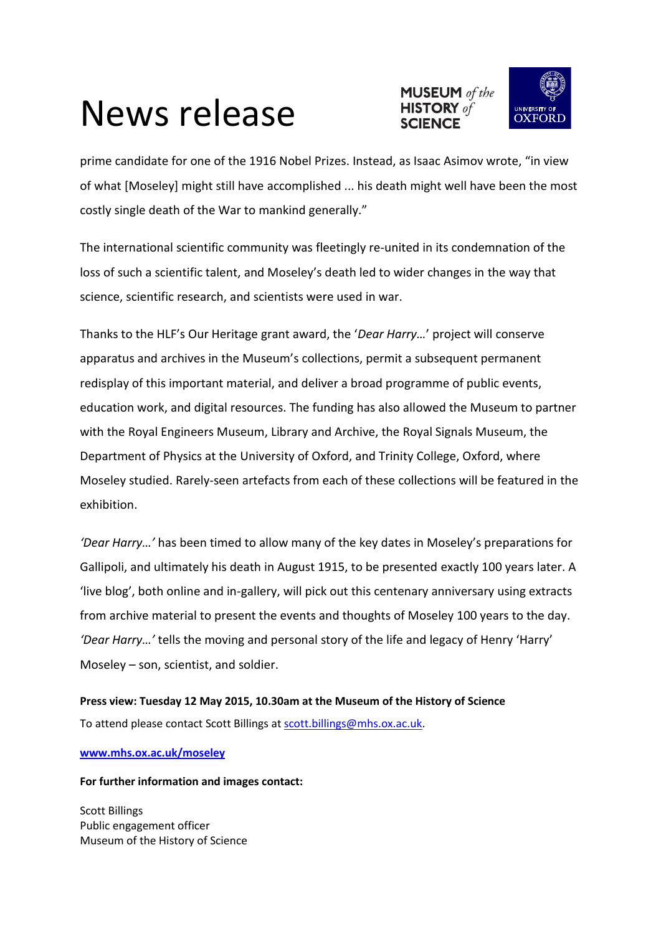



prime candidate for one of the 1916 Nobel Prizes. Instead, as Isaac Asimov wrote, "in view of what [Moseley] might still have accomplished ... his death might well have been the most costly single death of the War to mankind generally."

The international scientific community was fleetingly re-united in its condemnation of the loss of such a scientific talent, and Moseley's death led to wider changes in the way that science, scientific research, and scientists were used in war.

Thanks to the HLF's Our Heritage grant award, the '*Dear Harry…*' project will conserve apparatus and archives in the Museum's collections, permit a subsequent permanent redisplay of this important material, and deliver a broad programme of public events, education work, and digital resources. The funding has also allowed the Museum to partner with the Royal Engineers Museum, Library and Archive, the Royal Signals Museum, the Department of Physics at the University of Oxford, and Trinity College, Oxford, where Moseley studied. Rarely-seen artefacts from each of these collections will be featured in the exhibition.

*'Dear Harry…'* has been timed to allow many of the key dates in Moseley's preparations for Gallipoli, and ultimately his death in August 1915, to be presented exactly 100 years later. A 'live blog', both online and in-gallery, will pick out this centenary anniversary using extracts from archive material to present the events and thoughts of Moseley 100 years to the day. *'Dear Harry…'* tells the moving and personal story of the life and legacy of Henry 'Harry' Moseley – son, scientist, and soldier.

**Press view: Tuesday 12 May 2015, 10.30am at the Museum of the History of Science** To attend please contact Scott Billings at [scott.billings@mhs.ox.ac.uk.](mailto:scott.billings@mhs.ox.ac.uk)

**[www.mhs.ox.ac.uk/moseley](http://www.mhs.ox.ac.uk/moseley)**

**For further information and images contact:**

Scott Billings Public engagement officer Museum of the History of Science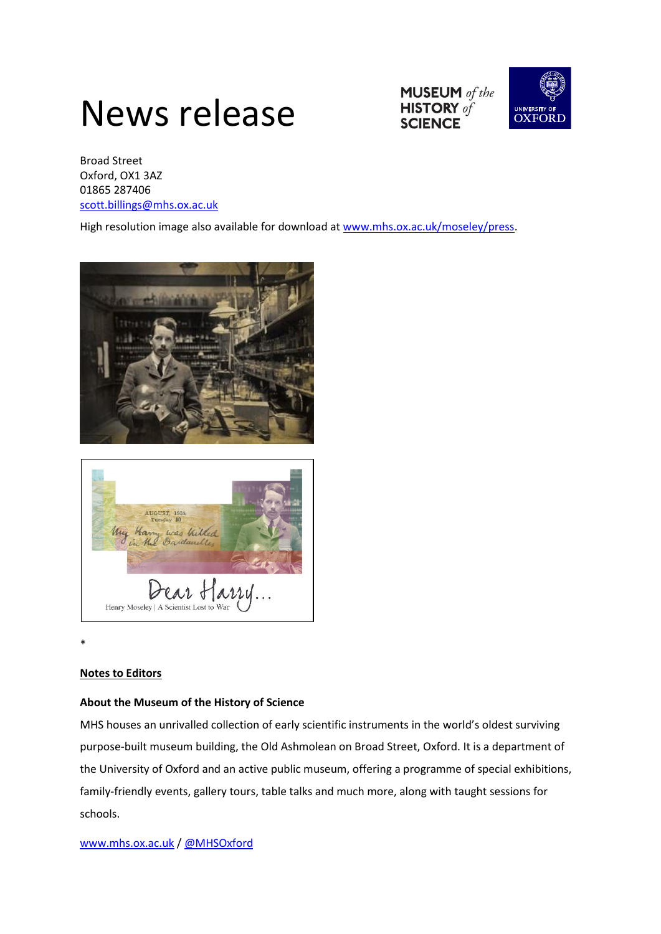**MUSEUM** of the **HISTORY** of **SCIENCE** 



Broad Street Oxford, OX1 3AZ 01865 287406 [scott.billings@mhs.ox.ac.uk](mailto:scott.billings@mhs.ox.ac.uk)

High resolution image also available for download at [www.mhs.ox.ac.uk/moseley/press.](http://www.mhs.ox.ac.uk/moseley/press)





\*

#### **Notes to Editors**

#### **About the Museum of the History of Science**

MHS houses an unrivalled collection of early scientific instruments in the world's oldest surviving purpose-built museum building, the Old Ashmolean on Broad Street, Oxford. It is a department of the University of Oxford and an active public museum, offering a programme of special exhibitions, family-friendly events, gallery tours, table talks and much more, along with taught sessions for schools.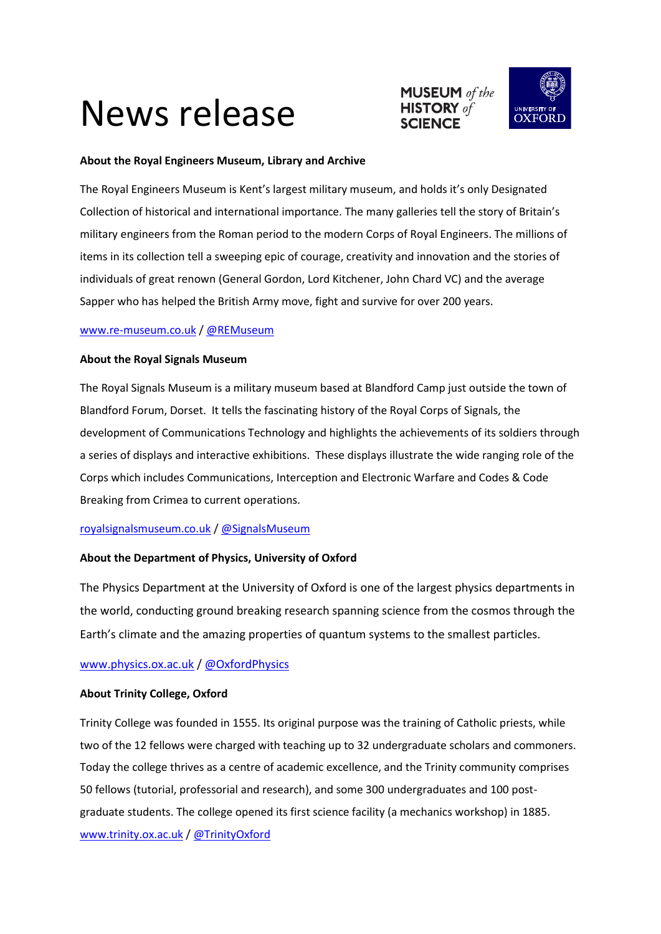



#### **About the Royal Engineers Museum, Library and Archive**

The Royal Engineers Museum is Kent's largest military museum, and holds it's only Designated Collection of historical and international importance. The many galleries tell the story of Britain's military engineers from the Roman period to the modern Corps of Royal Engineers. The millions of items in its collection tell a sweeping epic of courage, creativity and innovation and the stories of individuals of great renown (General Gordon, Lord Kitchener, John Chard VC) and the average Sapper who has helped the British Army move, fight and survive for over 200 years.

#### [www.re-museum.co.uk](http://www.re-museum.co.uk/) / [@REMuseum](twitter.com/remuseum)

#### **About the Royal Signals Museum**

The Royal Signals Museum is a military museum based at Blandford Camp just outside the town of Blandford Forum, Dorset. It tells the fascinating history of the Royal Corps of Signals, the development of Communications Technology and highlights the achievements of its soldiers through a series of displays and interactive exhibitions. These displays illustrate the wide ranging role of the Corps which includes Communications, Interception and Electronic Warfare and Codes & Code Breaking from Crimea to current operations.

#### [royalsignalsmuseum.co.uk](http://royalsignalsmuseum.co.uk/) / [@SignalsMuseum](twitter.com/signalsmuseum)

#### **About the Department of Physics, University of Oxford**

The Physics Department at the University of Oxford is one of the largest physics departments in the world, conducting ground breaking research spanning science from the cosmos through the Earth's climate and the amazing properties of quantum systems to the smallest particles.

#### [www.physics.ox.ac.uk](http://www.physics.ox.ac.uk/) / [@OxfordPhysics](twitter.com/oxfordphysics)

#### **About Trinity College, Oxford**

Trinity College was founded in 1555. Its original purpose was the training of Catholic priests, while two of the 12 fellows were charged with teaching up to 32 undergraduate scholars and commoners. Today the college thrives as a centre of academic excellence, and the Trinity community comprises 50 fellows (tutorial, professorial and research), and some 300 undergraduates and 100 postgraduate students. The college opened its first science facility (a mechanics workshop) in 1885. [www.trinity.ox.ac.uk](http://www.trinity.ox.ac.uk/) / [@TrinityOxford](twitter.com/trinityoxford)